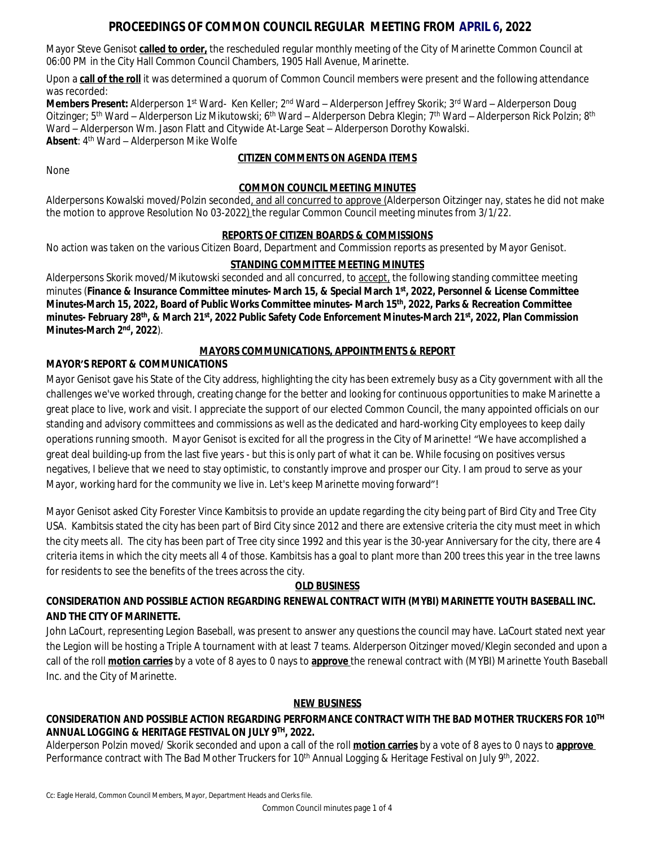# **PROCEEDINGS OF COMMON COUNCIL REGULAR MEETING FROM APRIL 6, 2022**

Mayor Steve Genisot **called to order,** the rescheduled regular monthly meeting of the City of Marinette Common Council at 06:00 PM in the City Hall Common Council Chambers, 1905 Hall Avenue, Marinette.

Upon a **call of the roll** it was determined a quorum of Common Council members were present and the following attendance was recorded:

**Members Present:** Alderperson 1<sup>st</sup> Ward- Ken Keller; 2<sup>nd</sup> Ward – Alderperson Jeffrey Skorik; 3<sup>rd</sup> Ward – Alderperson Doug Oitzinger; 5<sup>th</sup> Ward – Alderperson Liz Mikutowski; 6<sup>th</sup> Ward – Alderperson Debra Klegin; 7<sup>th</sup> Ward – Alderperson Rick Polzin; 8<sup>th</sup> Ward – Alderperson Wm. Jason Flatt and Citywide At-Large Seat – Alderperson Dorothy Kowalski. **Absent**: 4 th Ward – Alderperson Mike Wolfe

### **CITIZEN COMMENTS ON AGENDA ITEMS**

None

#### **COMMON COUNCIL MEETING MINUTES**

Alderpersons Kowalski moved/Polzin seconded, and all concurred to approve (Alderperson Oitzinger nay, states he did not make the motion to approve Resolution No 03-2022) the regular Common Council meeting minutes from 3/1/22.

### **REPORTS OF CITIZEN BOARDS & COMMISSIONS**

No action was taken on the various Citizen Board, Department and Commission reports as presented by Mayor Genisot.

#### **STANDING COMMITTEE MEETING MINUTES**

Alderpersons Skorik moved/Mikutowski seconded and all concurred, to accept, the following standing committee meeting minutes (**Finance & Insurance Committee minutes- March 15, & Special March 1st, 2022, Personnel & License Committee Minutes-March 15, 2022, Board of Public Works Committee minutes- March 15th, 2022, Parks & Recreation Committee minutes- February 28th, & March 21st, 2022 Public Safety Code Enforcement Minutes-March 21st, 2022, Plan Commission Minutes-March 2nd, 2022**).

## **MAYORS COMMUNICATIONS, APPOINTMENTS & REPORT**

### **MAYOR'S REPORT & COMMUNICATIONS**

Mayor Genisot gave his State of the City address, highlighting the city has been extremely busy as a City government with all the challenges we've worked through, creating change for the better and looking for continuous opportunities to make Marinette a great place to live, work and visit. I appreciate the support of our elected Common Council, the many appointed officials on our standing and advisory committees and commissions as well as the dedicated and hard-working City employees to keep daily operations running smooth. Mayor Genisot is excited for all the progress in the City of Marinette! "We have accomplished a great deal building-up from the last five years - but this is only part of what it can be. While focusing on positives versus negatives, I believe that we need to stay optimistic, to constantly improve and prosper our City. I am proud to serve as your Mayor, working hard for the community we live in. Let's keep Marinette moving forward"!

Mayor Genisot asked City Forester Vince Kambitsis to provide an update regarding the city being part of Bird City and Tree City USA. Kambitsis stated the city has been part of Bird City since 2012 and there are extensive criteria the city must meet in which the city meets all. The city has been part of Tree city since 1992 and this year is the 30-year Anniversary for the city, there are 4 criteria items in which the city meets all 4 of those. Kambitsis has a goal to plant more than 200 trees this year in the tree lawns for residents to see the benefits of the trees across the city.

#### **OLD BUSINESS**

# **CONSIDERATION AND POSSIBLE ACTION REGARDING RENEWAL CONTRACT WITH (MYBI) MARINETTE YOUTH BASEBALL INC. AND THE CITY OF MARINETTE.**

John LaCourt, representing Legion Baseball, was present to answer any questions the council may have. LaCourt stated next year the Legion will be hosting a Triple A tournament with at least 7 teams. Alderperson Oitzinger moved/Klegin seconded and upon a call of the roll **motion carries** by a vote of 8 ayes to 0 nays to **approve** the renewal contract with (MYBI) Marinette Youth Baseball Inc. and the City of Marinette.

#### **NEW BUSINESS**

# **CONSIDERATION AND POSSIBLE ACTION REGARDING PERFORMANCE CONTRACT WITH THE BAD MOTHER TRUCKERS FOR 10TH ANNUAL LOGGING & HERITAGE FESTIVAL ON JULY 9TH, 2022.**

Alderperson Polzin moved/ Skorik seconded and upon a call of the roll **motion carries** by a vote of 8 ayes to 0 nays to **approve**  Performance contract with The Bad Mother Truckers for 10<sup>th</sup> Annual Logging & Heritage Festival on July 9<sup>th</sup>, 2022.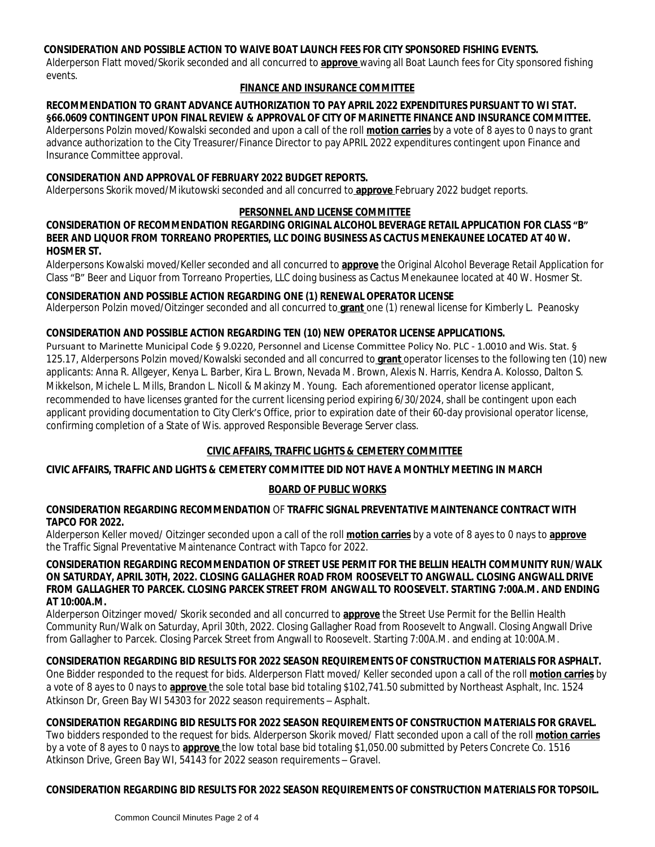### **CONSIDERATION AND POSSIBLE ACTION TO WAIVE BOAT LAUNCH FEES FOR CITY SPONSORED FISHING EVENTS.**

Alderperson Flatt moved/Skorik seconded and all concurred to **approve** waving all Boat Launch fees for City sponsored fishing events.

## **FINANCE AND INSURANCE COMMITTEE**

#### **RECOMMENDATION TO GRANT ADVANCE AUTHORIZATION TO PAY APRIL 2022 EXPENDITURES PURSUANT TO WI STAT. §66.0609 CONTINGENT UPON FINAL REVIEW & APPROVAL OF CITY OF MARINETTE FINANCE AND INSURANCE COMMITTEE.**

Alderpersons Polzin moved/Kowalski seconded and upon a call of the roll **motion carries** by a vote of 8 ayes to 0 nays to grant advance authorization to the City Treasurer/Finance Director to pay APRIL 2022 expenditures contingent upon Finance and Insurance Committee approval.

## **CONSIDERATION AND APPROVAL OF FEBRUARY 2022 BUDGET REPORTS.**

Alderpersons Skorik moved/Mikutowski seconded and all concurred to **approve** February 2022 budget reports.

#### **PERSONNEL AND LICENSE COMMITTEE**

#### **CONSIDERATION OF RECOMMENDATION REGARDING ORIGINAL ALCOHOL BEVERAGE RETAIL APPLICATION FOR CLASS "B" BEER AND LIQUOR FROM TORREANO PROPERTIES, LLC DOING BUSINESS AS CACTUS MENEKAUNEE LOCATED AT 40 W. HOSMER ST.**

Alderpersons Kowalski moved/Keller seconded and all concurred to **approve** the Original Alcohol Beverage Retail Application for Class "B" Beer and Liquor from Torreano Properties, LLC doing business as Cactus Menekaunee located at 40 W. Hosmer St.

### **CONSIDERATION AND POSSIBLE ACTION REGARDING ONE (1) RENEWAL OPERATOR LICENSE**

Alderperson Polzin moved/Oitzinger seconded and all concurred to **grant** one (1) renewal license for Kimberly L. Peanosky

### **CONSIDERATION AND POSSIBLE ACTION REGARDING TEN (10) NEW OPERATOR LICENSE APPLICATIONS.**

Pursuant to Marinette Municipal Code § 9.0220, Personnel and License Committee Policy No. PLC - 1.0010 and Wis. Stat. § 125.17, Alderpersons Polzin moved/Kowalski seconded and all concurred to **grant** operator licenses to the following ten (10) new applicants: Anna R. Allgeyer, Kenya L. Barber, Kira L. Brown, Nevada M. Brown, Alexis N. Harris, Kendra A. Kolosso, Dalton S. Mikkelson, Michele L. Mills, Brandon L. Nicoll & Makinzy M. Young. Each aforementioned operator license applicant, recommended to have licenses granted for the current licensing period expiring 6/30/2024, shall be contingent upon each applicant providing documentation to City Clerk's Office, prior to expiration date of their 60-day provisional operator license, confirming completion of a State of Wis. approved Responsible Beverage Server class.

# **CIVIC AFFAIRS, TRAFFIC LIGHTS & CEMETERY COMMITTEE**

### **CIVIC AFFAIRS, TRAFFIC AND LIGHTS & CEMETERY COMMITTEE DID NOT HAVE A MONTHLY MEETING IN MARCH**

### **BOARD OF PUBLIC WORKS**

### **CONSIDERATION REGARDING RECOMMENDATION** OF **TRAFFIC SIGNAL PREVENTATIVE MAINTENANCE CONTRACT WITH TAPCO FOR 2022.**

Alderperson Keller moved/ Oitzinger seconded upon a call of the roll **motion carries** by a vote of 8 ayes to 0 nays to **approve** the Traffic Signal Preventative Maintenance Contract with Tapco for 2022.

#### **CONSIDERATION REGARDING RECOMMENDATION OF STREET USE PERMIT FOR THE BELLIN HEALTH COMMUNITY RUN/WALK ON SATURDAY, APRIL 30TH, 2022. CLOSING GALLAGHER ROAD FROM ROOSEVELT TO ANGWALL. CLOSING ANGWALL DRIVE FROM GALLAGHER TO PARCEK. CLOSING PARCEK STREET FROM ANGWALL TO ROOSEVELT. STARTING 7:00A.M. AND ENDING AT 10:00A.M.**

Alderperson Oitzinger moved/ Skorik seconded and all concurred to **approve** the Street Use Permit for the Bellin Health Community Run/Walk on Saturday, April 30th, 2022. Closing Gallagher Road from Roosevelt to Angwall. Closing Angwall Drive from Gallagher to Parcek. Closing Parcek Street from Angwall to Roosevelt. Starting 7:00A.M. and ending at 10:00A.M.

# **CONSIDERATION REGARDING BID RESULTS FOR 2022 SEASON REQUIREMENTS OF CONSTRUCTION MATERIALS FOR ASPHALT.**

One Bidder responded to the request for bids. Alderperson Flatt moved/ Keller seconded upon a call of the roll **motion carries** by a vote of 8 ayes to 0 nays to **approve** the sole total base bid totaling \$102,741.50 submitted by Northeast Asphalt, Inc. 1524 Atkinson Dr, Green Bay WI 54303 for 2022 season requirements – Asphalt.

# **CONSIDERATION REGARDING BID RESULTS FOR 2022 SEASON REQUIREMENTS OF CONSTRUCTION MATERIALS FOR GRAVEL.**

Two bidders responded to the request for bids. Alderperson Skorik moved/ Flatt seconded upon a call of the roll **motion carries** by a vote of 8 ayes to 0 nays to **approve** the low total base bid totaling \$1,050.00 submitted by Peters Concrete Co. 1516 Atkinson Drive, Green Bay WI, 54143 for 2022 season requirements – Gravel.

### **CONSIDERATION REGARDING BID RESULTS FOR 2022 SEASON REQUIREMENTS OF CONSTRUCTION MATERIALS FOR TOPSOIL.**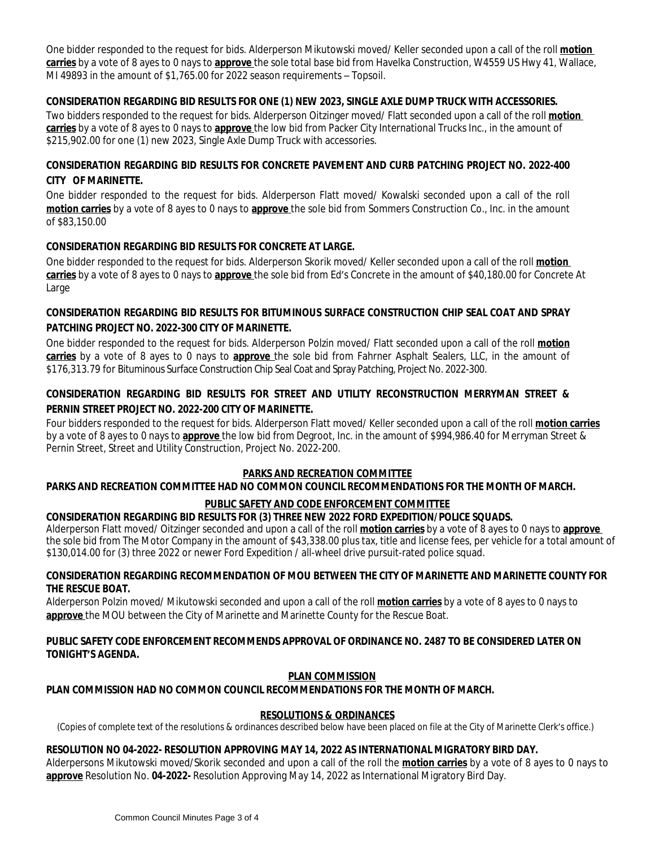One bidder responded to the request for bids. Alderperson Mikutowski moved/ Keller seconded upon a call of the roll **motion carries** by a vote of 8 ayes to 0 nays to **approve** the sole total base bid from Havelka Construction, W4559 US Hwy 41, Wallace, MI 49893 in the amount of \$1,765.00 for 2022 season requirements – Topsoil.

## **CONSIDERATION REGARDING BID RESULTS FOR ONE (1) NEW 2023, SINGLE AXLE DUMP TRUCK WITH ACCESSORIES.**

Two bidders responded to the request for bids. Alderperson Oitzinger moved/ Flatt seconded upon a call of the roll **motion carries** by a vote of 8 ayes to 0 nays to **approve** the low bid from Packer City International Trucks Inc., in the amount of \$215,902.00 for one (1) new 2023, Single Axle Dump Truck with accessories.

# **CONSIDERATION REGARDING BID RESULTS FOR CONCRETE PAVEMENT AND CURB PATCHING PROJECT NO. 2022-400 CITY OF MARINETTE.**

One bidder responded to the request for bids. Alderperson Flatt moved/ Kowalski seconded upon a call of the roll **motion carries** by a vote of 8 ayes to 0 nays to **approve** the sole bid from Sommers Construction Co., Inc. in the amount of \$83,150.00

# **CONSIDERATION REGARDING BID RESULTS FOR CONCRETE AT LARGE.**

One bidder responded to the request for bids. Alderperson Skorik moved/ Keller seconded upon a call of the roll **motion carries** by a vote of 8 ayes to 0 nays to **approve** the sole bid from Ed's Concrete in the amount of \$40,180.00 for Concrete At Large

# **CONSIDERATION REGARDING BID RESULTS FOR BITUMINOUS SURFACE CONSTRUCTION CHIP SEAL COAT AND SPRAY PATCHING PROJECT NO. 2022-300 CITY OF MARINETTE.**

One bidder responded to the request for bids. Alderperson Polzin moved/ Flatt seconded upon a call of the roll **motion carries** by a vote of 8 ayes to 0 nays to **approve** the sole bid from Fahrner Asphalt Sealers, LLC, in the amount of \$176,313.79 for Bituminous Surface Construction Chip Seal Coat and Spray Patching, Project No. 2022-300.

# **CONSIDERATION REGARDING BID RESULTS FOR STREET AND UTILITY RECONSTRUCTION MERRYMAN STREET & PERNIN STREET PROJECT NO. 2022-200 CITY OF MARINETTE.**

Four bidders responded to the request for bids. Alderperson Flatt moved/ Keller seconded upon a call of the roll **motion carries** by a vote of 8 ayes to 0 nays to **approve** the low bid from Degroot, Inc. in the amount of \$994,986.40 for Merryman Street & Pernin Street, Street and Utility Construction, Project No. 2022-200.

### **PARKS AND RECREATION COMMITTEE**

### **PARKS AND RECREATION COMMITTEE HAD NO COMMON COUNCIL RECOMMENDATIONS FOR THE MONTH OF MARCH.**

### **PUBLIC SAFETY AND CODE ENFORCEMENT COMMITTEE**

### **CONSIDERATION REGARDING BID RESULTS FOR (3) THREE NEW 2022 FORD EXPEDITION/POLICE SQUADS.**

Alderperson Flatt moved/ Oitzinger seconded and upon a call of the roll **motion carries** by a vote of 8 ayes to 0 nays to **approve**  the sole bid from The Motor Company in the amount of \$43,338.00 plus tax, title and license fees, per vehicle for a total amount of \$130,014.00 for (3) three 2022 or newer Ford Expedition / all-wheel drive pursuit-rated police squad.

#### **CONSIDERATION REGARDING RECOMMENDATION OF MOU BETWEEN THE CITY OF MARINETTE AND MARINETTE COUNTY FOR THE RESCUE BOAT.**

Alderperson Polzin moved/ Mikutowski seconded and upon a call of the roll **motion carries** by a vote of 8 ayes to 0 nays to **approve** the MOU between the City of Marinette and Marinette County for the Rescue Boat.

#### **PUBLIC SAFETY CODE ENFORCEMENT RECOMMENDS APPROVAL OF ORDINANCE NO. 2487 TO BE CONSIDERED LATER ON TONIGHT'S AGENDA.**

### **PLAN COMMISSION**

## **PLAN COMMISSION HAD NO COMMON COUNCIL RECOMMENDATIONS FOR THE MONTH OF MARCH.**

## **RESOLUTIONS & ORDINANCES**

(Copies of complete text of the resolutions & ordinances described below have been placed on file at the City of Marinette Clerk's office.)

### **RESOLUTION NO 04-2022- RESOLUTION APPROVING MAY 14, 2022 AS INTERNATIONAL MIGRATORY BIRD DAY.**

Alderpersons Mikutowski moved/Skorik seconded and upon a call of the roll the **motion carries** by a vote of 8 ayes to 0 nays to **approve** Resolution No. **04-2022-** Resolution Approving May 14, 2022 as International Migratory Bird Day.